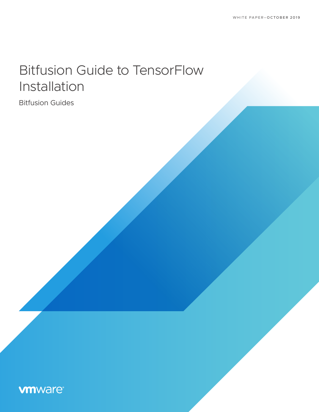# Bitfusion Guide to TensorFlow Installation

Bitfusion Guides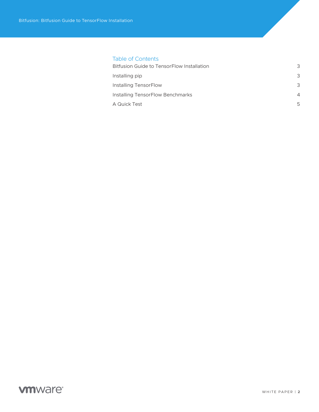| Table of Contents                                 |                          |
|---------------------------------------------------|--------------------------|
| <b>Bitfusion Guide to TensorFlow Installation</b> | 3                        |
| Installing pip                                    | 3                        |
| Installing TensorFlow                             | 3                        |
| Installing TensorFlow Benchmarks                  | $\overline{\mathcal{A}}$ |
| A Quick Test                                      | 5                        |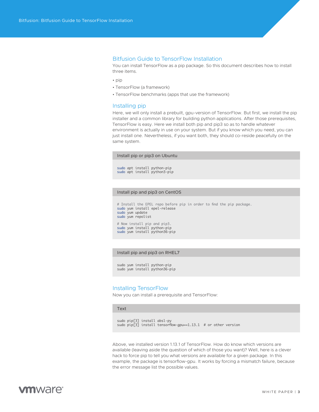### <span id="page-2-0"></span>Bitfusion Guide to TensorFlow Installation

You can install TensorFlow as a pip package. So this document describes how to install three items.

• pip

- TensorFlow (a framework)
- TensorFlow benchmarks (apps that use the framework)

### Installing pip

Here, we will only install a prebuilt, gpu-version of TensorFlow. But first, we install the pip installer and a common library for building python applications. After those prerequisites, TensorFlow is easy. Here we install both pip and pip3 so as to handle whatever environment is actually in use on your system. But if you know which you need, you can just install one. Nevertheless, if you want both, they should co-reside peacefully on the same system.

Install pip or pip3 on Ubuntu

sudo apt install python-pip sudo apt install python3-pip

#### Install pip and pip3 on CentOS

# Install the EPEL repo before pip in order to find the pip package. sudo yum install epel-release sudo yum update sudo yum repolist # Now install pip and pip3. sudo yum install python-pip sudo yum install python36-pip

#### Install pip and pip3 on RHEL7

sudo yum install python-pip sudo yum install python36-pip

### Installing TensorFlow

Now you can install a prerequisite and TensorFlow:

```
Text
sudo pip[3] install absl-py
sudo pip[3] install tensorflow-gpu==1.13.1 # or other version
```
Above, we installed version 1.13.1 of TensorFlow. How do know which versions are available (leaving aside the question of which of those you want)? Well, here is a clever hack to force pip to tell you what versions are available for a given package. In this example, the package is tensorflow-gpu. It works by forcing a mismatch failure, because the error message list the possible values.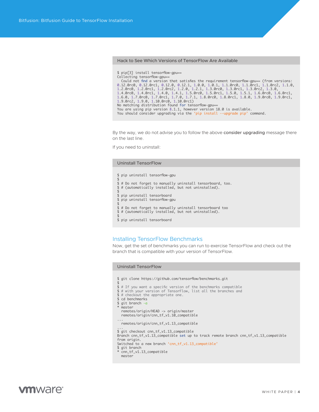#### <span id="page-3-0"></span>Hack to See Which Versions of TensorFlow Are Available

```
$ pip[3] install tensorflow-gpu==
Collecting tensorflow-gpu==
Could not find a version that satisfies the requirement tensorflow-gpu== (from versions:<br>0.12.0rc0, 0.12.0rc1, 0.12.0, 0.12.1, 1.0.0, 1.0.1, 1.1.0rc0, 1.1.0rc1, 1.1.0rc2, 1.1.0,<br>1.2.0rc0, 1.2.0rc1, 1.2.0rc2, 1.2.0, 1.2.1, 
No matching distribution found for tensorflow-gpu==
You are using pip version 8.1.1, however version 18.0 is available.
You should consider upgrading via the 'pip install --upgrade pip' command.
```
By the way, we do not advise you to follow the above consider upgrading message there on the last line.

If you need to uninstall:

#### Uninstall TensorFlow

\$ pip uninstall tensorflow-gpu \$ \$ # Do not forget to manually uninstall tensorboard, too. \$ # (automatically installed, but not uninstalled). \$ \$ pip uninstall tensorboard \$ pip uninstall tensorflow-gpu  $\zeta$ \$ # Do not forget to manually uninstall tensorboard too \$ # (automatically installed, but not uninstalled). \$ \$ pip uninstall tensorboard

### Installing TensorFlow Benchmarks

Now, get the set of benchmarks you can run to exercise TensorFlow and check out the branch that is compatible with your version of TensorFlow.

### Uninstall TensorFlow

|   | \$ git clone https://github.com/tensorflow/benchmarks.git                                                                                                                                                                                                               |  |  |
|---|-------------------------------------------------------------------------------------------------------------------------------------------------------------------------------------------------------------------------------------------------------------------------|--|--|
|   | $$$ # If you want a specific version of the benchmarks compatible<br>\$ # with your version of TensorFlow, list all the branches and<br>$$$ # checkout the appropriate one.<br>\$ cd benchmarks<br>\$ qit branch -a<br>* master<br>remotes/origin/HEAD -> origin/master |  |  |
|   | remotes/origin/cnn_tf_v1.10_compatible                                                                                                                                                                                                                                  |  |  |
| . | remotes/origin/cnn_tf_v1.13_compatible                                                                                                                                                                                                                                  |  |  |
|   | \$ git checkout cnn_tf_v1.13_compatible<br>Branch cnn_tf_v1.13_compatible set up to track remote branch cnn_tf_v1.13_compatible<br>from origin.<br>Switched to a new branch 'cnn_tf_v1.13_compatible'<br>\$ qit branch<br>* cnn_tf_v1.13_compatible<br>master           |  |  |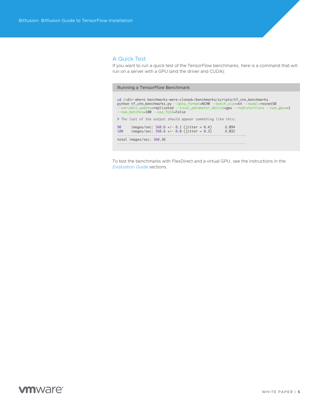## <span id="page-4-0"></span>A Quick Test

If you want to run a quick test of the TensorFlow benchmarks, here is a command that will run on a server with a GPU (and the driver and CUDA):

| Running a TensorFlow Benchmark                                                                                                                                                                                                                                                                                    |                |  |  |  |
|-------------------------------------------------------------------------------------------------------------------------------------------------------------------------------------------------------------------------------------------------------------------------------------------------------------------|----------------|--|--|--|
| cd / <dir-where benchmarks-were-cloned="">/benchmarks/scripts/tf_cnn_benchmarks<br/>python tf_cnn_benchmarks.py --data_format=NCHW --batch_size=64 --model=resnet50<br/>--variable_update=replicated --local_parameter_device=qpu --nodistortions --num_qpus=1<br/>--num_batches=100 --use_fp16=False</dir-where> |                |  |  |  |
| # The last of the output should appear something like this:                                                                                                                                                                                                                                                       |                |  |  |  |
| 90<br>$images/sec: 360.6 +/- 0.1 (jitter = 0.4)$<br>$images/sec: 360.6 +/- 0.0 (jitter = 0.3)$<br>100                                                                                                                                                                                                             | 8.094<br>8.032 |  |  |  |
| total images/sec: 360.36                                                                                                                                                                                                                                                                                          |                |  |  |  |

To test the benchmarks with FlexDirect and a virtual GPU, see the instructions in the *[Evaluation Guide](https://www-review.vmware.com/solutions/business-critical-apps/hardwareaccelerators-virtualization.html)* sections.